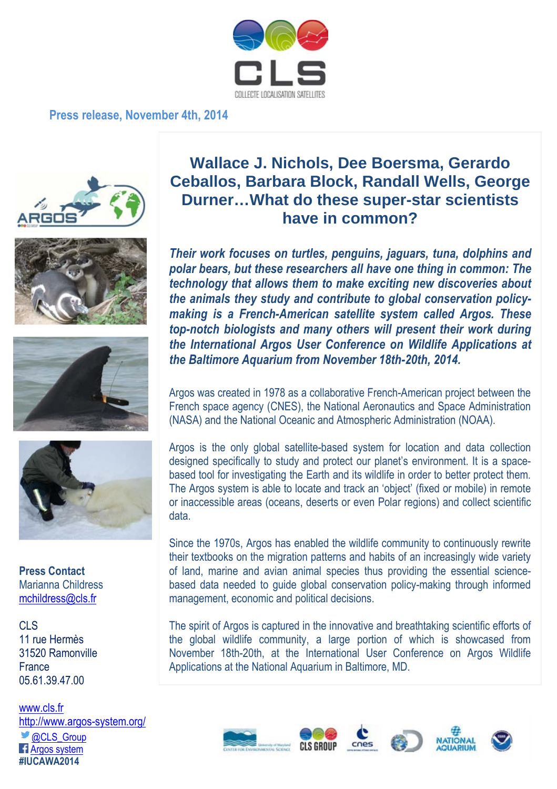

## **Press release, November 4th, 2014**









**Press Contact** Marianna Childress mchildress@cls.fr

CLS 11 rue Hermès 31520 Ramonville France 05.61.39.47.00

www.cls.fr http://www.argos-system.org/ @CLS\_Group **F** Argos system **#IUCAWA2014** 

## **Wallace J. Nichols, Dee Boersma, Gerardo Ceballos, Barbara Block, Randall Wells, George Durner…What do these super-star scientists have in common?**

*Their work focuses on turtles, penguins, jaguars, tuna, dolphins and polar bears, but these researchers all have one thing in common: The technology that allows them to make exciting new discoveries about the animals they study and contribute to global conservation policymaking is a French-American satellite system called Argos. These top-notch biologists and many others will present their work during the International Argos User Conference on Wildlife Applications at the Baltimore Aquarium from November 18th-20th, 2014.* 

Argos was created in 1978 as a collaborative French-American project between the French space agency (CNES), the National Aeronautics and Space Administration (NASA) and the National Oceanic and Atmospheric Administration (NOAA).

Argos is the only global satellite-based system for location and data collection designed specifically to study and protect our planet's environment. It is a spacebased tool for investigating the Earth and its wildlife in order to better protect them. The Argos system is able to locate and track an 'object' (fixed or mobile) in remote or inaccessible areas (oceans, deserts or even Polar regions) and collect scientific data.

Since the 1970s, Argos has enabled the wildlife community to continuously rewrite their textbooks on the migration patterns and habits of an increasingly wide variety of land, marine and avian animal species thus providing the essential sciencebased data needed to guide global conservation policy-making through informed management, economic and political decisions.

The spirit of Argos is captured in the innovative and breathtaking scientific efforts of the global wildlife community, a large portion of which is showcased from November 18th-20th, at the International User Conference on Argos Wildlife Applications at the National Aquarium in Baltimore, MD.









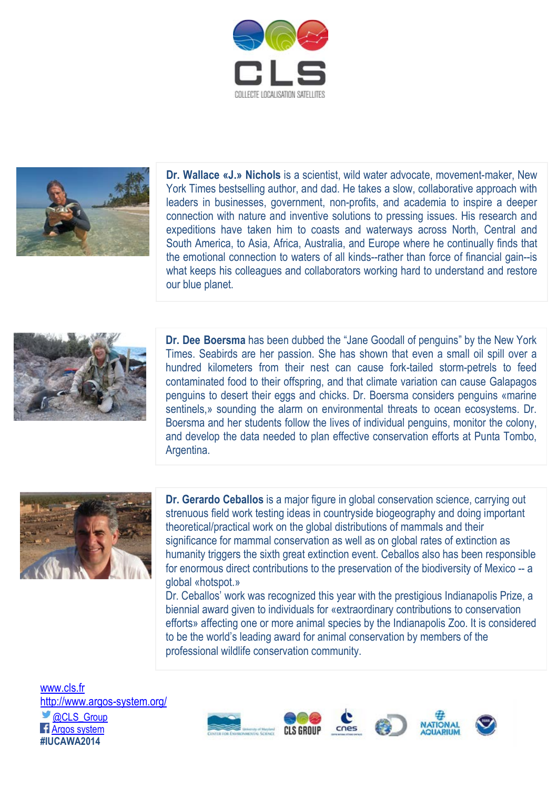



**Dr. Wallace «J.» Nichols** is a scientist, wild water advocate, movement-maker, New York Times bestselling author, and dad. He takes a slow, collaborative approach with leaders in businesses, government, non-profits, and academia to inspire a deeper connection with nature and inventive solutions to pressing issues. His research and expeditions have taken him to coasts and waterways across North, Central and South America, to Asia, Africa, Australia, and Europe where he continually finds that the emotional connection to waters of all kinds--rather than force of financial gain--is what keeps his colleagues and collaborators working hard to understand and restore our blue planet.



**Dr. Dee Boersma** has been dubbed the "Jane Goodall of penguins" by the New York Times. Seabirds are her passion. She has shown that even a small oil spill over a hundred kilometers from their nest can cause fork-tailed storm-petrels to feed contaminated food to their offspring, and that climate variation can cause Galapagos penguins to desert their eggs and chicks. Dr. Boersma considers penguins «marine sentinels,» sounding the alarm on environmental threats to ocean ecosystems. Dr. Boersma and her students follow the lives of individual penguins, monitor the colony, and develop the data needed to plan effective conservation efforts at Punta Tombo, Argentina.



**Dr. Gerardo Ceballos** is a major figure in global conservation science, carrying out strenuous field work testing ideas in countryside biogeography and doing important theoretical/practical work on the global distributions of mammals and their significance for mammal conservation as well as on global rates of extinction as humanity triggers the sixth great extinction event. Ceballos also has been responsible for enormous direct contributions to the preservation of the biodiversity of Mexico -- a global «hotspot.»

Dr. Ceballos' work was recognized this year with the prestigious Indianapolis Prize, a biennial award given to individuals for «extraordinary contributions to conservation efforts» affecting one or more animal species by the Indianapolis Zoo. It is considered to be the world's leading award for animal conservation by members of the professional wildlife conservation community.

www.cls.fr http://www.argos-system.org/ **@CLS\_Group** Argos system **#IUCAWA2014**